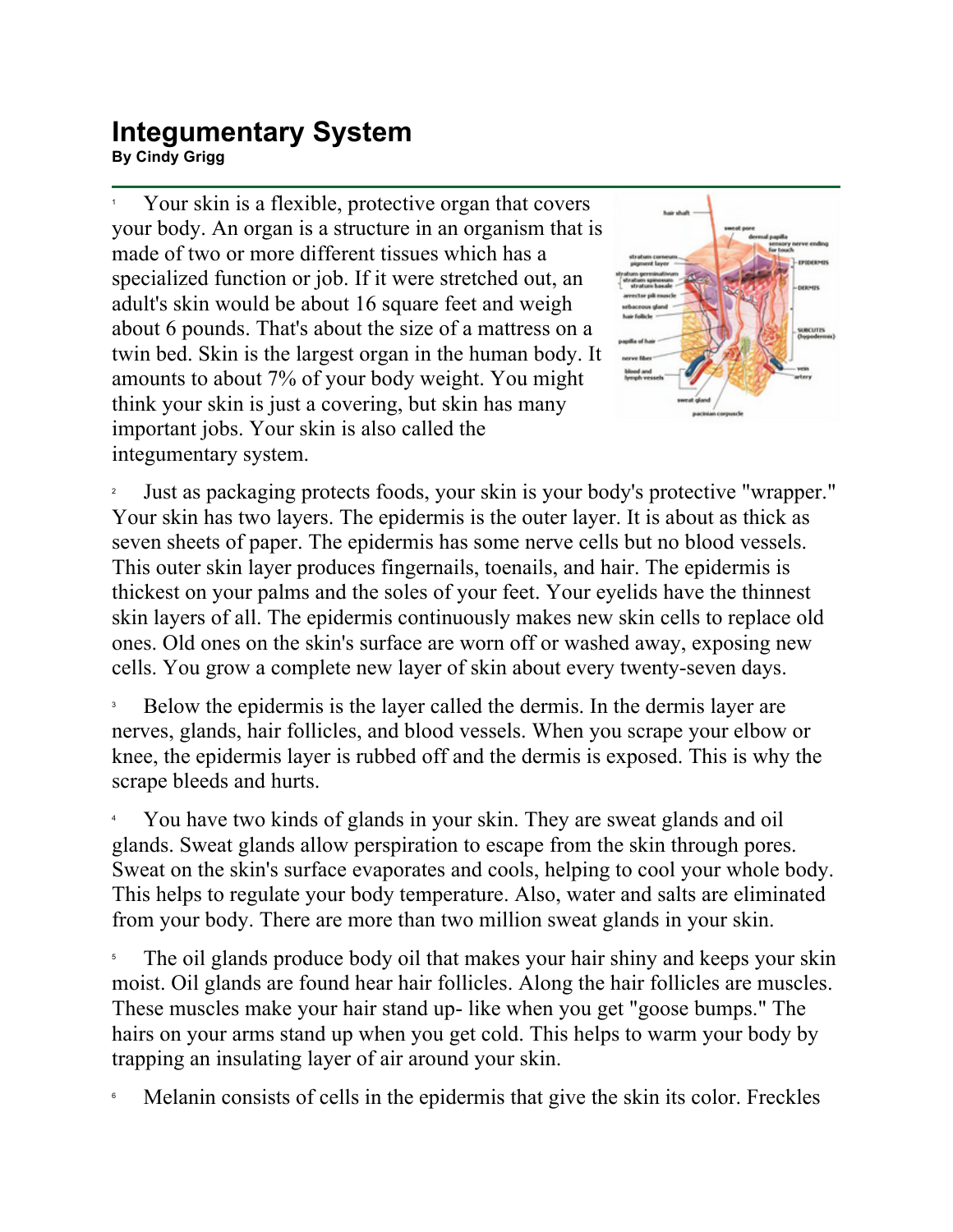## **Integumentary System By Cindy Grigg**<br>By Cindy Grigg

1 Your skin is a flexible, protective organ that covers your body. An organ is a structure in an organism that is made of two or more different tissues which has a specialized function or job. If it were stretched out, an adult's skin would be about 16 square feet and weigh about 6 pounds. That's about the size of a mattress on a twin bed. Skin is the largest organ in the human body. It amounts to about 7% of your body weight. You might think your skin is just a covering, but skin has many important jobs. Your skin is also called the integumentary system.



2 Just as packaging protects foods, your skin is your body's protective "wrapper." Your skin has two layers. The epidermis is the outer layer. It is about as thick as seven sheets of paper. The epidermis has some nerve cells but no blood vessels. This outer skin layer produces fingernails, toenails, and hair. The epidermis is thickest on your palms and the soles of your feet. Your eyelids have the thinnest skin layers of all. The epidermis continuously makes new skin cells to replace old ones. Old ones on the skin's surface are worn off or washed away, exposing new cells. You grow a complete new layer of skin about every twenty-seven days.

3 Below the epidermis is the layer called the dermis. In the dermis layer are nerves, glands, hair follicles, and blood vessels. When you scrape your elbow or knee, the epidermis layer is rubbed off and the dermis is exposed. This is why the scrape bleeds and hurts.

4 You have two kinds of glands in your skin. They are sweat glands and oil glands. Sweat glands allow perspiration to escape from the skin through pores. Sweat on the skin's surface evaporates and cools, helping to cool your whole body. This helps to regulate your body temperature. Also, water and salts are eliminated from your body. There are more than two million sweat glands in your skin.

5 The oil glands produce body oil that makes your hair shiny and keeps your skin moist. Oil glands are found hear hair follicles. Along the hair follicles are muscles. These muscles make your hair stand up- like when you get "goose bumps." The hairs on your arms stand up when you get cold. This helps to warm your body by trapping an insulating layer of air around your skin.

6 Melanin consists of cells in the epidermis that give the skin its color. Freckles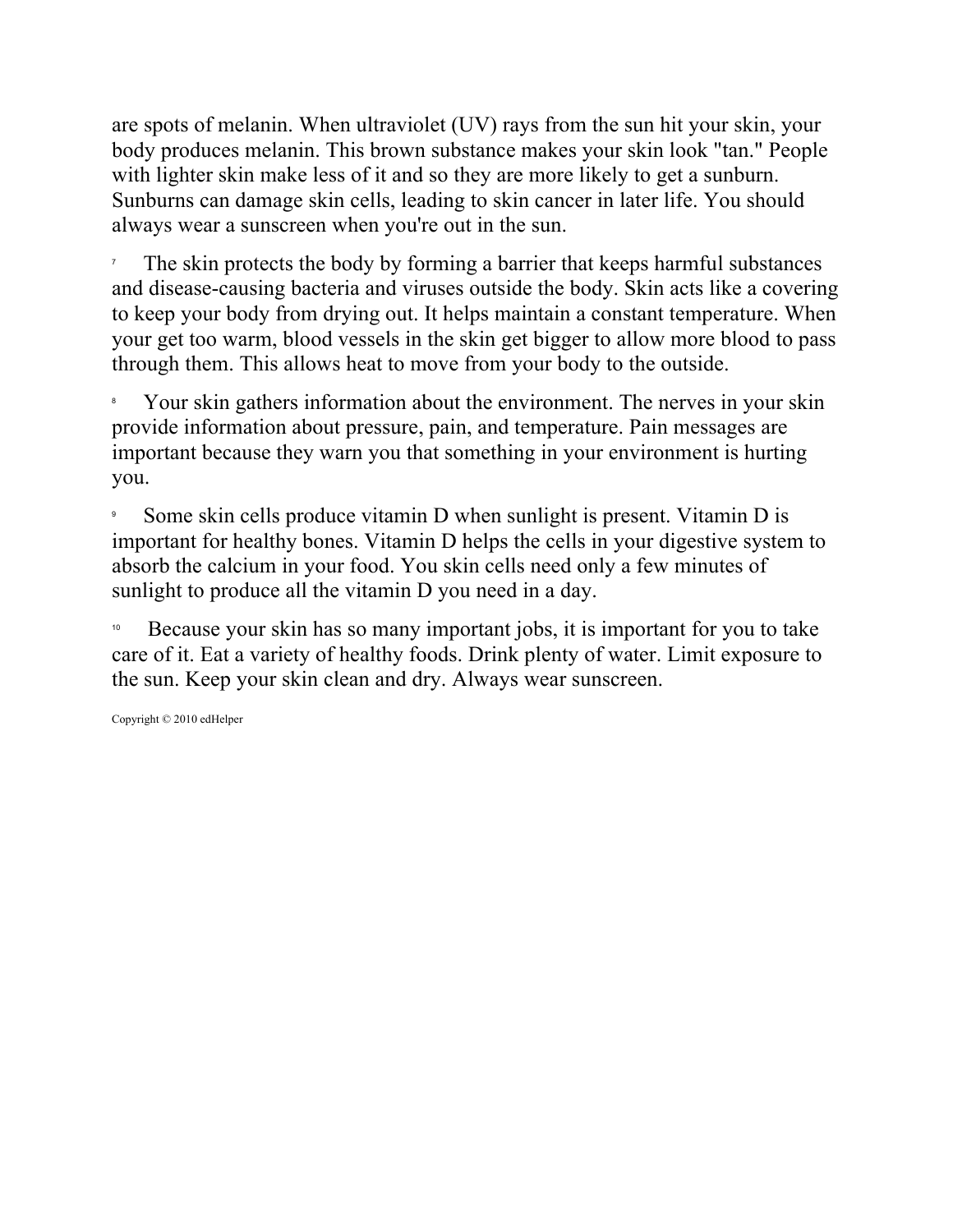are spots of melanin. When ultraviolet (UV) rays from the sun hit your skin, your body produces melanin. This brown substance makes your skin look "tan." People with lighter skin make less of it and so they are more likely to get a sunburn. Sunburns can damage skin cells, leading to skin cancer in later life. You should always wear a sunscreen when you're out in the sun.

7 The skin protects the body by forming a barrier that keeps harmful substances and disease-causing bacteria and viruses outside the body. Skin acts like a covering to keep your body from drying out. It helps maintain a constant temperature. When your get too warm, blood vessels in the skin get bigger to allow more blood to pass through them. This allows heat to move from your body to the outside.

8 Your skin gathers information about the environment. The nerves in your skin provide information about pressure, pain, and temperature. Pain messages are important because they warn you that something in your environment is hurting you.

9 Some skin cells produce vitamin D when sunlight is present. Vitamin D is important for healthy bones. Vitamin D helps the cells in your digestive system to absorb the calcium in your food. You skin cells need only a few minutes of sunlight to produce all the vitamin D you need in a day.

<sup>10</sup> Because your skin has so many important jobs, it is important for you to take care of it. Eat a variety of healthy foods. Drink plenty of water. Limit exposure to the sun. Keep your skin clean and dry. Always wear sunscreen.

Copyright © 2010 edHelper